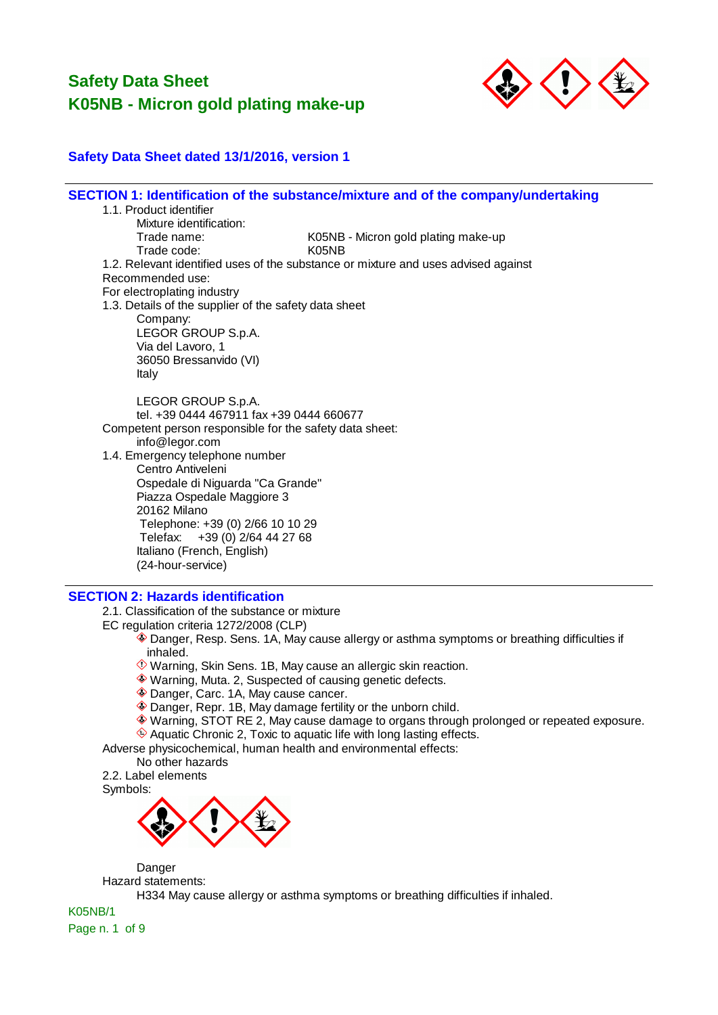

### **Safety Data Sheet dated 13/1/2016, version 1**

| SECTION 1: Identification of the substance/mixture and of the company/undertaking<br>1.1. Product identifier                          |
|---------------------------------------------------------------------------------------------------------------------------------------|
| Mixture identification:<br>K05NB - Micron gold plating make-up<br>Trade name:<br>Trade code:<br>K05NB                                 |
| 1.2. Relevant identified uses of the substance or mixture and uses advised against<br>Recommended use:<br>For electroplating industry |
| 1.3. Details of the supplier of the safety data sheet<br>Company:                                                                     |
| LEGOR GROUP S.p.A.<br>Via del Lavoro, 1<br>36050 Bressanvido (VI)                                                                     |
| Italy<br>LEGOR GROUP S.p.A.                                                                                                           |
| tel. +39 0444 467911 fax +39 0444 660677<br>Competent person responsible for the safety data sheet:                                   |
| info@legor.com<br>1.4. Emergency telephone number<br>Centro Antiveleni                                                                |
| Ospedale di Niguarda "Ca Grande"<br>Piazza Ospedale Maggiore 3                                                                        |
| 20162 Milano<br>Telephone: +39 (0) 2/66 10 10 29                                                                                      |
| Telefax: +39 (0) 2/64 44 27 68<br>Italiano (French, English)                                                                          |
| (24-hour-service)                                                                                                                     |
| <b>SECTION 2: Hazards identification</b><br>2.1. Classification of the substance or mixture                                           |
| EC regulation criteria 1272/2008 (CLP)<br>Danger, Resp. Sens. 1A, May cause allergy or asthma symptoms or breathing difficulties if   |
| inhaled.<br>Warning, Skin Sens. 1B, May cause an allergic skin reaction.                                                              |
| ♦ Warning, Muta. 2, Suspected of causing genetic defects.<br>◆ Danger, Carc. 1A, May cause cancer.                                    |
| $\bigwedge$ Denotes Denn 4D. Marriagne and fautility contracts and chair third                                                        |

- Danger, Repr. 1B, May damage fertility or the unborn child.
- Warning, STOT RE 2, May cause damage to organs through prolonged or repeated exposure. Aquatic Chronic 2, Toxic to aquatic life with long lasting effects.

Adverse physicochemical, human health and environmental effects:

- No other hazards
- 2.2. Label elements

Symbols:



Danger Hazard statements:

H334 May cause allergy or asthma symptoms or breathing difficulties if inhaled.

K05NB/1 Page n. 1 of 9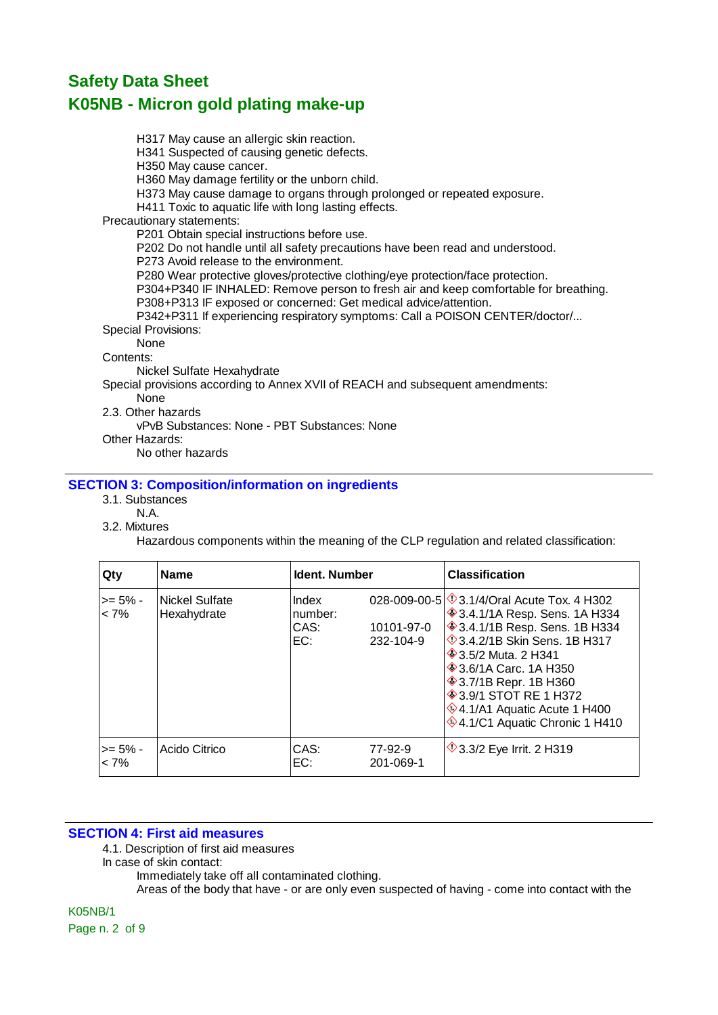## **Safety Data Sheet**

## **K05NB - Micron gold plating make-up**

H317 May cause an allergic skin reaction. H341 Suspected of causing genetic defects. H350 May cause cancer. H360 May damage fertility or the unborn child. H373 May cause damage to organs through prolonged or repeated exposure. H411 Toxic to aquatic life with long lasting effects. Precautionary statements: P201 Obtain special instructions before use. P202 Do not handle until all safety precautions have been read and understood. P273 Avoid release to the environment. P280 Wear protective gloves/protective clothing/eye protection/face protection. P304+P340 IF INHALED: Remove person to fresh air and keep comfortable for breathing. P308+P313 IF exposed or concerned: Get medical advice/attention. P342+P311 If experiencing respiratory symptoms: Call a POISON CENTER/doctor/... Special Provisions: None Contents: Nickel Sulfate Hexahydrate Special provisions according to Annex XVII of REACH and subsequent amendments: None 2.3. Other hazards

vPvB Substances: None - PBT Substances: None

Other Hazards:

No other hazards

#### **SECTION 3: Composition/information on ingredients**

- 3.1. Substances
	- N.A.
- 3.2. Mixtures

Hazardous components within the meaning of the CLP regulation and related classification:

| Qty                   | <b>Name</b>                     | <b>Ident. Number</b>            |                         | <b>Classification</b>                                                                                                                                                                                                                                                                                                                                                                      |
|-----------------------|---------------------------------|---------------------------------|-------------------------|--------------------------------------------------------------------------------------------------------------------------------------------------------------------------------------------------------------------------------------------------------------------------------------------------------------------------------------------------------------------------------------------|
| $>= 5\%$ -<br>$< 7\%$ | l Nickel Sulfate<br>Hexahydrate | Index<br>number:<br>CAS:<br>EC: | 10101-97-0<br>232-104-9 | 028-009-00-5 $\otimes$ 3.1/4/Oral Acute Tox. 4 H302<br><b>♦ 3.4.1/1A Resp. Sens. 1A H334</b><br>♦ 3.4.1/1B Resp. Sens. 1B H334<br><b>18 3.4.2/1B Skin Sens. 1B H317</b><br><b>♦ 3.5/2 Muta. 2 H341</b><br><b>♦ 3.6/1A Carc. 1A H350</b><br><b>♦ 3.7/1B Repr. 1B H360</b><br><b>♦ 3.9/1 STOT RE 1 H372</b><br>$\textcircled{4.1/A1}$ Aquatic Acute 1 H400<br>♦4.1/C1 Aquatic Chronic 1 H410 |
| $>= 5\%$ -<br>$< 7\%$ | Acido Citrico                   | CAS:<br>EC:                     | 77-92-9<br>201-069-1    | $\sqrt{3.3}/2$ Eye Irrit. 2 H319                                                                                                                                                                                                                                                                                                                                                           |

### **SECTION 4: First aid measures**

4.1. Description of first aid measures

- In case of skin contact:
	- Immediately take off all contaminated clothing.

Areas of the body that have - or are only even suspected of having - come into contact with the

K05NB/1 Page n. 2 of 9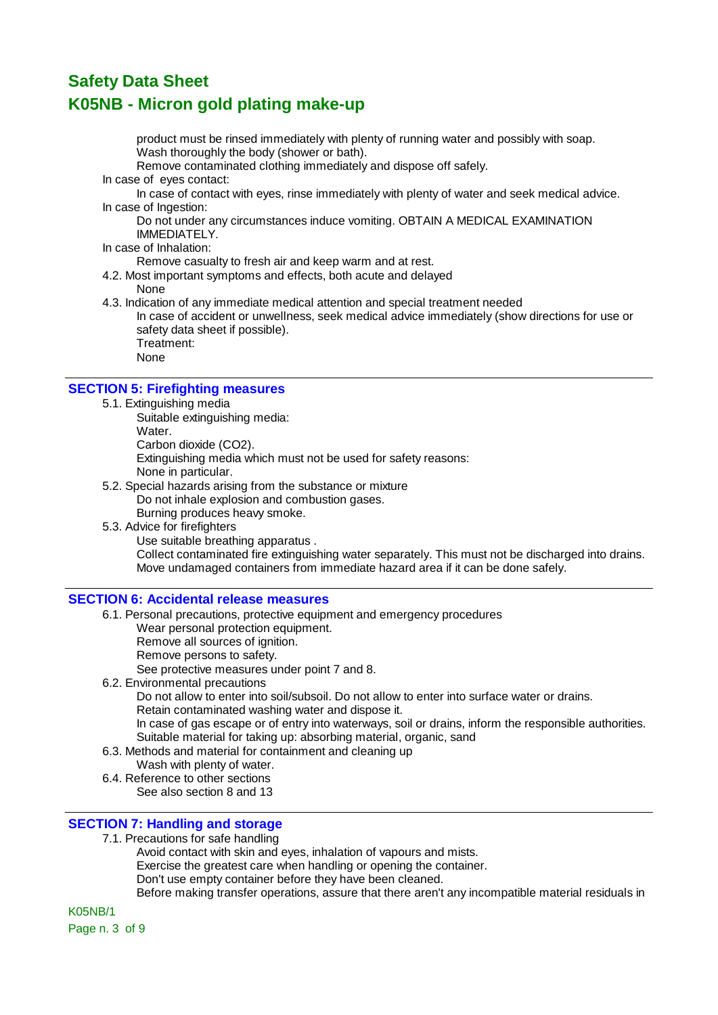## **Safety Data Sheet**

## **K05NB - Micron gold plating make-up**

product must be rinsed immediately with plenty of running water and possibly with soap. Wash thoroughly the body (shower or bath).

Remove contaminated clothing immediately and dispose off safely.

In case of eyes contact:

In case of contact with eyes, rinse immediately with plenty of water and seek medical advice. In case of Ingestion:

Do not under any circumstances induce vomiting. OBTAIN A MEDICAL EXAMINATION IMMEDIATELY.

#### In case of Inhalation:

Remove casualty to fresh air and keep warm and at rest.

- 4.2. Most important symptoms and effects, both acute and delayed None
- 4.3. Indication of any immediate medical attention and special treatment needed

In case of accident or unwellness, seek medical advice immediately (show directions for use or safety data sheet if possible).

Treatment: None

#### **SECTION 5: Firefighting measures**

5.1. Extinguishing media

Suitable extinguishing media:

- Water
- Carbon dioxide (CO2).

Extinguishing media which must not be used for safety reasons:

None in particular.

- 5.2. Special hazards arising from the substance or mixture Do not inhale explosion and combustion gases.
	- Burning produces heavy smoke.
- 5.3. Advice for firefighters

Use suitable breathing apparatus .

Collect contaminated fire extinguishing water separately. This must not be discharged into drains. Move undamaged containers from immediate hazard area if it can be done safely.

#### **SECTION 6: Accidental release measures**

- 6.1. Personal precautions, protective equipment and emergency procedures
	- Wear personal protection equipment.
	- Remove all sources of ignition.
	- Remove persons to safety.
	- See protective measures under point 7 and 8.
- 6.2. Environmental precautions

Do not allow to enter into soil/subsoil. Do not allow to enter into surface water or drains. Retain contaminated washing water and dispose it. In case of gas escape or of entry into waterways, soil or drains, inform the responsible authorities.

Suitable material for taking up: absorbing material, organic, sand

- 6.3. Methods and material for containment and cleaning up
	- Wash with plenty of water.
- 6.4. Reference to other sections See also section 8 and 13

### **SECTION 7: Handling and storage**

- 7.1. Precautions for safe handling
	- Avoid contact with skin and eyes, inhalation of vapours and mists.

Exercise the greatest care when handling or opening the container.

Don't use empty container before they have been cleaned.

Before making transfer operations, assure that there aren't any incompatible material residuals in

K05NB/1

Page n. 3 of 9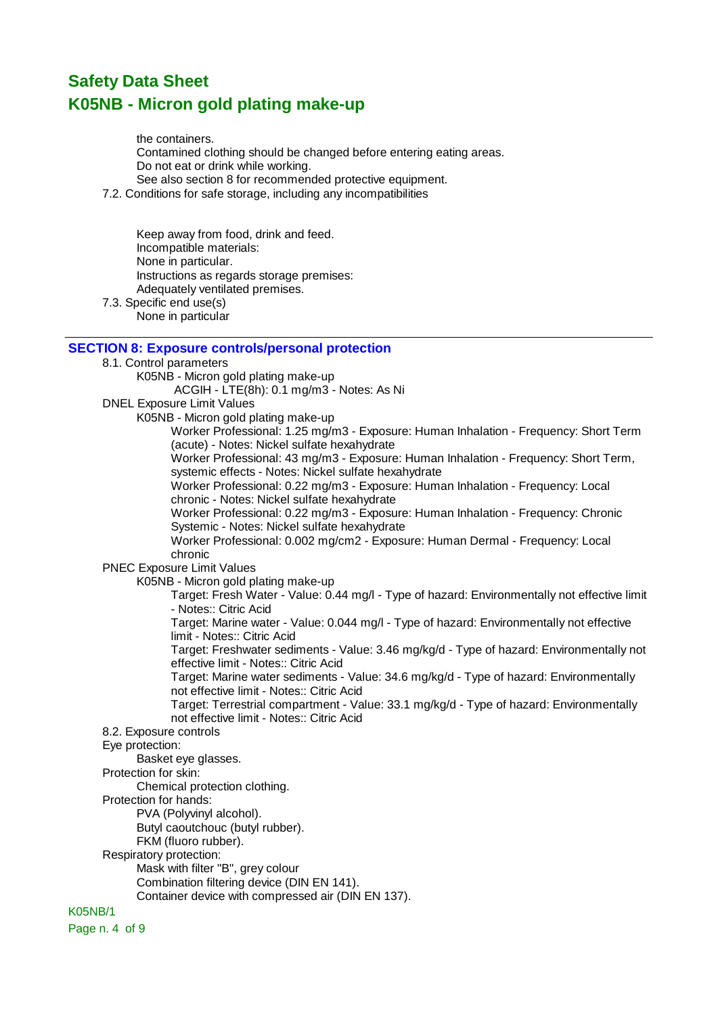the containers.

Contamined clothing should be changed before entering eating areas.

Do not eat or drink while working.

See also section 8 for recommended protective equipment.

7.2. Conditions for safe storage, including any incompatibilities

Keep away from food, drink and feed. Incompatible materials: None in particular. Instructions as regards storage premises: Adequately ventilated premises.

7.3. Specific end use(s) None in particular

### **SECTION 8: Exposure controls/personal protection**

8.1. Control parameters K05NB - Micron gold plating make-up ACGIH - LTE(8h): 0.1 mg/m3 - Notes: As Ni DNEL Exposure Limit Values K05NB - Micron gold plating make-up Worker Professional: 1.25 mg/m3 - Exposure: Human Inhalation - Frequency: Short Term (acute) - Notes: Nickel sulfate hexahydrate Worker Professional: 43 mg/m3 - Exposure: Human Inhalation - Frequency: Short Term, systemic effects - Notes: Nickel sulfate hexahydrate Worker Professional: 0.22 mg/m3 - Exposure: Human Inhalation - Frequency: Local chronic - Notes: Nickel sulfate hexahydrate Worker Professional: 0.22 mg/m3 - Exposure: Human Inhalation - Frequency: Chronic Systemic - Notes: Nickel sulfate hexahydrate Worker Professional: 0.002 mg/cm2 - Exposure: Human Dermal - Frequency: Local chronic PNEC Exposure Limit Values K05NB - Micron gold plating make-up Target: Fresh Water - Value: 0.44 mg/l - Type of hazard: Environmentally not effective limit - Notes:: Citric Acid Target: Marine water - Value: 0.044 mg/l - Type of hazard: Environmentally not effective limit - Notes:: Citric Acid Target: Freshwater sediments - Value: 3.46 mg/kg/d - Type of hazard: Environmentally not effective limit - Notes:: Citric Acid Target: Marine water sediments - Value: 34.6 mg/kg/d - Type of hazard: Environmentally not effective limit - Notes:: Citric Acid Target: Terrestrial compartment - Value: 33.1 mg/kg/d - Type of hazard: Environmentally not effective limit - Notes:: Citric Acid 8.2. Exposure controls Eye protection: Basket eye glasses. Protection for skin: Chemical protection clothing. Protection for hands: PVA (Polyvinyl alcohol). Butyl caoutchouc (butyl rubber). FKM (fluoro rubber). Respiratory protection: Mask with filter "B", grey colour Combination filtering device (DIN EN 141). Container device with compressed air (DIN EN 137). K05NB/1

Page n. 4 of 9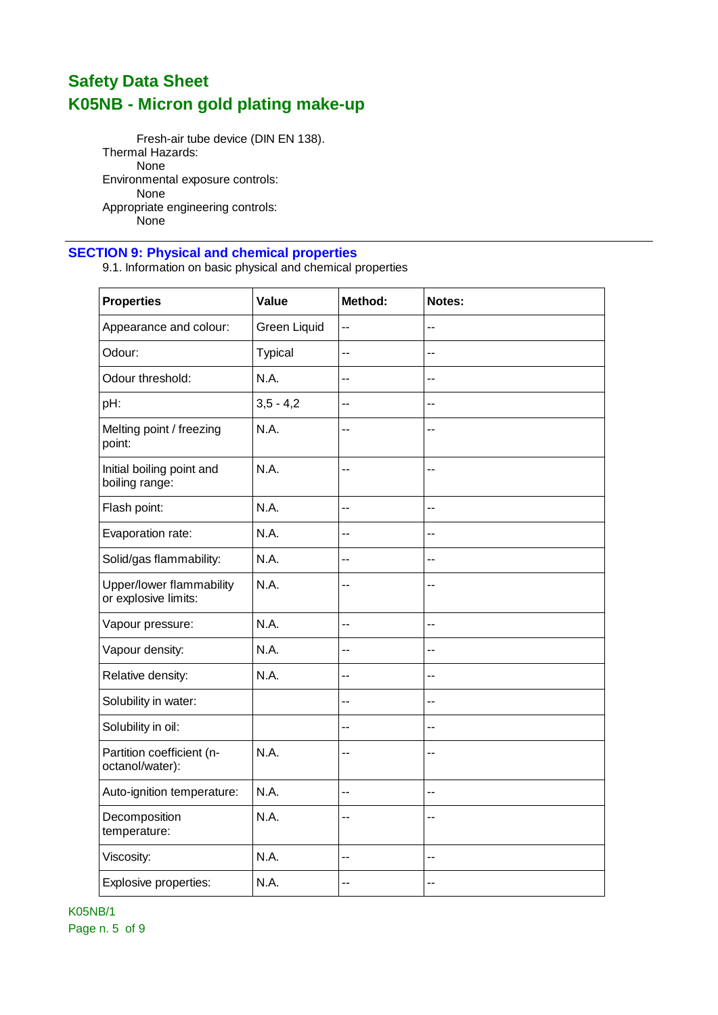Fresh-air tube device (DIN EN 138). Thermal Hazards: None Environmental exposure controls: None Appropriate engineering controls: None

### **SECTION 9: Physical and chemical properties**

9.1. Information on basic physical and chemical properties

| <b>Properties</b>                                | Value          | Method: | Notes:         |
|--------------------------------------------------|----------------|---------|----------------|
| Appearance and colour:                           | Green Liquid   | --      | --             |
| Odour:                                           | <b>Typical</b> | --      | --             |
| Odour threshold:                                 | N.A.           | $-$     | $-$            |
| pH:                                              | $3,5 - 4,2$    | --      | $-$            |
| Melting point / freezing<br>point:               | N.A.           | --      | --             |
| Initial boiling point and<br>boiling range:      | N.A.           | --      | $-$            |
| Flash point:                                     | N.A.           | --      | $\overline{a}$ |
| Evaporation rate:                                | N.A.           | --      | --             |
| Solid/gas flammability:                          | N.A.           | --      | --             |
| Upper/lower flammability<br>or explosive limits: | N.A.           | --      | --             |
| Vapour pressure:                                 | N.A.           | --      | --             |
| Vapour density:                                  | N.A.           | --      | --             |
| Relative density:                                | N.A.           | $-$     | $-$            |
| Solubility in water:                             |                | $-$     | --             |
| Solubility in oil:                               |                | --      | $\overline{a}$ |
| Partition coefficient (n-<br>octanol/water):     | N.A.           | --      | --             |
| Auto-ignition temperature:                       | N.A.           | $-$     | $\overline{a}$ |
| Decomposition<br>temperature:                    | N.A.           | $-$     | --             |
| Viscosity:                                       | N.A.           | --      | --             |
| Explosive properties:                            | N.A.           | --      | --             |

K05NB/1 Page n. 5 of 9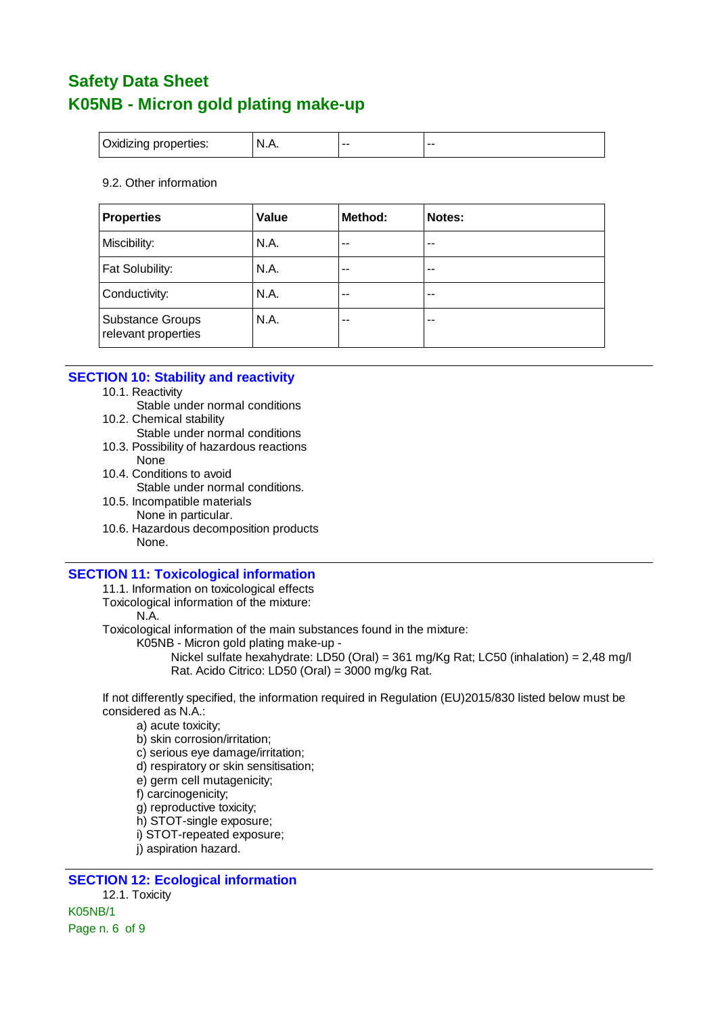| <b>Oxidizing properties:</b> | N.A.          | $- -$ | $- -$ |
|------------------------------|---------------|-------|-------|
|                              | $\sim$ $\sim$ |       |       |

#### 9.2. Other information

| <b>Properties</b>                              | Value | Method: | Notes: |
|------------------------------------------------|-------|---------|--------|
| Miscibility:                                   | N.A.  | --      | --     |
| Fat Solubility:                                | N.A.  | --      | $- -$  |
| Conductivity:                                  | N.A.  | --      | --     |
| <b>Substance Groups</b><br>relevant properties | N.A.  | --      | --     |

### **SECTION 10: Stability and reactivity**

- 10.1. Reactivity
- Stable under normal conditions 10.2. Chemical stability
	- Stable under normal conditions
- 10.3. Possibility of hazardous reactions None
- 10.4. Conditions to avoid Stable under normal conditions.
- 10.5. Incompatible materials
- None in particular. 10.6. Hazardous decomposition products None.

### **SECTION 11: Toxicological information**

- 11.1. Information on toxicological effects
- Toxicological information of the mixture:

#### N.A.

Toxicological information of the main substances found in the mixture:

K05NB - Micron gold plating make-up -

Nickel sulfate hexahydrate: LD50 (Oral) = 361 mg/Kg Rat; LC50 (inhalation) = 2,48 mg/l Rat. Acido Citrico: LD50 (Oral) = 3000 mg/kg Rat.

If not differently specified, the information required in Regulation (EU)2015/830 listed below must be considered as N.A.:

- a) acute toxicity;
- b) skin corrosion/irritation:
- c) serious eye damage/irritation;
- d) respiratory or skin sensitisation;
- e) germ cell mutagenicity;
- f) carcinogenicity;
- g) reproductive toxicity;
- h) STOT-single exposure;
- i) STOT-repeated exposure;
- j) aspiration hazard.

**SECTION 12: Ecological information** 12.1. Toxicity K05NB/1 Page n. 6 of 9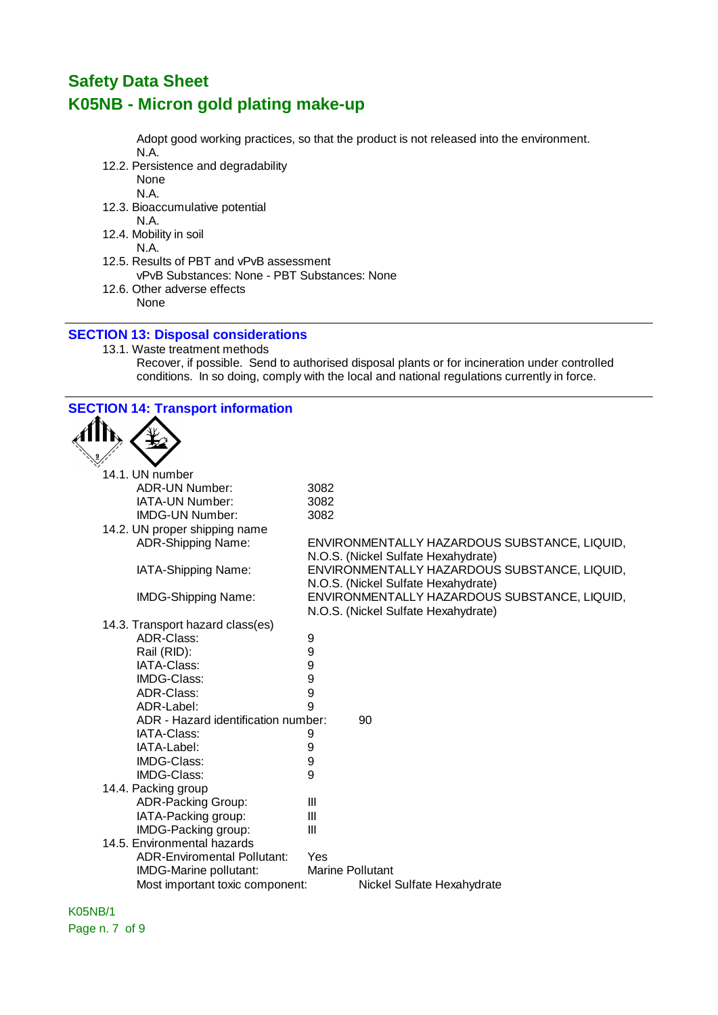Adopt good working practices, so that the product is not released into the environment. N.A.

12.2. Persistence and degradability

None N.A.

12.3. Bioaccumulative potential

N.A.

- 12.4. Mobility in soil
- N.A.
- 12.5. Results of PBT and vPvB assessment vPvB Substances: None - PBT Substances: None
- 12.6. Other adverse effects None

### **SECTION 13: Disposal considerations**

13.1. Waste treatment methods Recover, if possible. Send to authorised disposal plants or for incineration under controlled conditions. In so doing, comply with the local and national regulations currently in force.

**SECTION 14: Transport information**

| ヾ |                                     |                         |                                              |
|---|-------------------------------------|-------------------------|----------------------------------------------|
|   | 14.1. UN number                     |                         |                                              |
|   | ADR-UN Number:                      | 3082                    |                                              |
|   | IATA-UN Number:                     | 3082                    |                                              |
|   | <b>IMDG-UN Number:</b>              | 3082                    |                                              |
|   | 14.2. UN proper shipping name       |                         |                                              |
|   | <b>ADR-Shipping Name:</b>           |                         | ENVIRONMENTALLY HAZARDOUS SUBSTANCE, LIQUID, |
|   |                                     |                         | N.O.S. (Nickel Sulfate Hexahydrate)          |
|   | IATA-Shipping Name:                 |                         | ENVIRONMENTALLY HAZARDOUS SUBSTANCE, LIQUID, |
|   |                                     |                         | N.O.S. (Nickel Sulfate Hexahydrate)          |
|   | <b>IMDG-Shipping Name:</b>          |                         | ENVIRONMENTALLY HAZARDOUS SUBSTANCE, LIQUID, |
|   |                                     |                         | N.O.S. (Nickel Sulfate Hexahydrate)          |
|   | 14.3. Transport hazard class(es)    |                         |                                              |
|   | ADR-Class:                          | 9                       |                                              |
|   | Rail (RID):                         | 9                       |                                              |
|   | IATA-Class:                         | 9                       |                                              |
|   | <b>IMDG-Class:</b>                  | 9                       |                                              |
|   | ADR-Class:                          | 9                       |                                              |
|   | ADR-Label:                          | 9                       |                                              |
|   | ADR - Hazard identification number: |                         | 90                                           |
|   | IATA-Class:                         | 9                       |                                              |
|   | IATA-Label:                         | 9                       |                                              |
|   | IMDG-Class:                         | 9                       |                                              |
|   | IMDG-Class:                         | 9                       |                                              |
|   | 14.4. Packing group                 |                         |                                              |
|   | <b>ADR-Packing Group:</b>           | Ш                       |                                              |
|   | IATA-Packing group:                 | Ш                       |                                              |
|   | IMDG-Packing group:                 | III                     |                                              |
|   | 14.5. Environmental hazards         |                         |                                              |
|   | <b>ADR-Enviromental Pollutant:</b>  | Yes                     |                                              |
|   | IMDG-Marine pollutant:              | <b>Marine Pollutant</b> |                                              |
|   | Most important toxic component:     |                         | Nickel Sulfate Hexahydrate                   |
|   |                                     |                         |                                              |

### K05NB/1

Page n. 7 of 9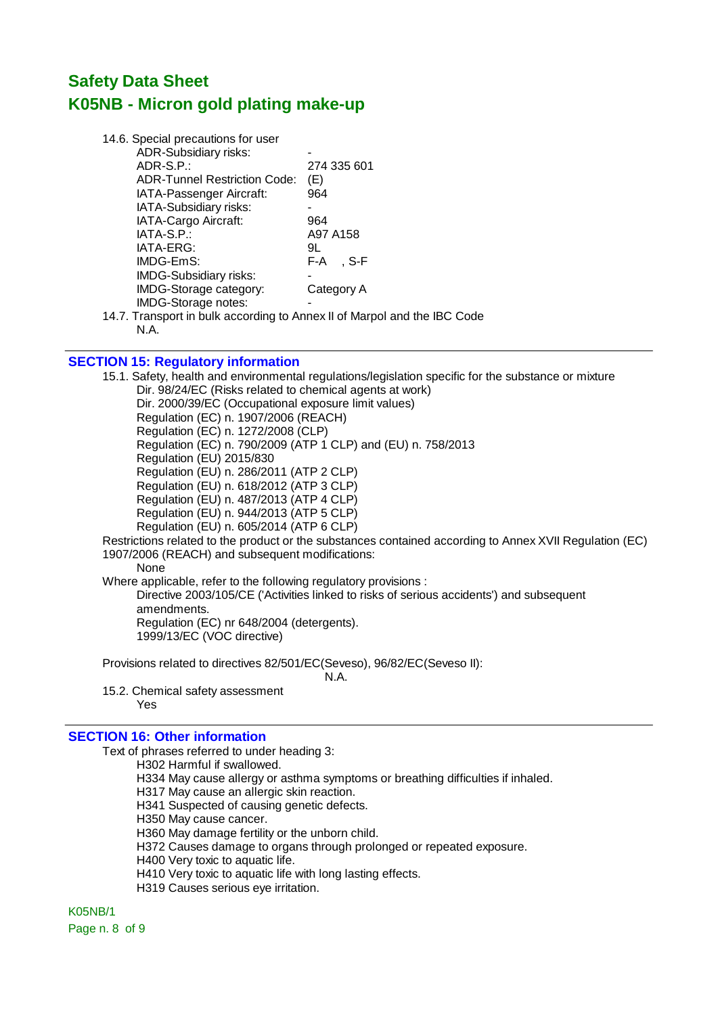| 14.6. Special precautions for user                                       |              |
|--------------------------------------------------------------------------|--------------|
| <b>ADR-Subsidiary risks:</b>                                             |              |
| $ADR-S.P.$ :                                                             | 274 335 601  |
| ADR-Tunnel Restriction Code:                                             | (E)          |
| IATA-Passenger Aircraft:                                                 | 964          |
| IATA-Subsidiary risks:                                                   |              |
| IATA-Cargo Aircraft:                                                     | 964          |
| IATA-S.P.:                                                               | A97 A158     |
| IATA-ERG:                                                                | 9L           |
| IMDG-EmS:                                                                | . S-F<br>F-A |
| <b>IMDG-Subsidiary risks:</b>                                            |              |
| IMDG-Storage category:                                                   | Category A   |
| IMDG-Storage notes:                                                      |              |
| 14.7. Transport in bulk according to Annex II of Marpol and the IBC Code |              |

N.A.

### **SECTION 15: Regulatory information**

15.1. Safety, health and environmental regulations/legislation specific for the substance or mixture Dir. 98/24/EC (Risks related to chemical agents at work) Dir. 2000/39/EC (Occupational exposure limit values) Regulation (EC) n. 1907/2006 (REACH) Regulation (EC) n. 1272/2008 (CLP) Regulation (EC) n. 790/2009 (ATP 1 CLP) and (EU) n. 758/2013 Regulation (EU) 2015/830 Regulation (EU) n. 286/2011 (ATP 2 CLP) Regulation (EU) n. 618/2012 (ATP 3 CLP) Regulation (EU) n. 487/2013 (ATP 4 CLP) Regulation (EU) n. 944/2013 (ATP 5 CLP) Regulation (EU) n. 605/2014 (ATP 6 CLP) Restrictions related to the product or the substances contained according to Annex XVII Regulation (EC) 1907/2006 (REACH) and subsequent modifications: None Where applicable, refer to the following regulatory provisions : Directive 2003/105/CE ('Activities linked to risks of serious accidents') and subsequent

amendments. Regulation (EC) nr 648/2004 (detergents).

1999/13/EC (VOC directive)

Provisions related to directives 82/501/EC(Seveso), 96/82/EC(Seveso II):

N.A.

15.2. Chemical safety assessment Yes

### **SECTION 16: Other information**

Text of phrases referred to under heading 3:

H302 Harmful if swallowed.

- H334 May cause allergy or asthma symptoms or breathing difficulties if inhaled.
- H317 May cause an allergic skin reaction.
- H341 Suspected of causing genetic defects.
- H350 May cause cancer.
- H360 May damage fertility or the unborn child.
- H372 Causes damage to organs through prolonged or repeated exposure.
- H400 Very toxic to aquatic life.
- H410 Very toxic to aquatic life with long lasting effects.
- H319 Causes serious eye irritation.

K05NB/1 Page n. 8 of 9